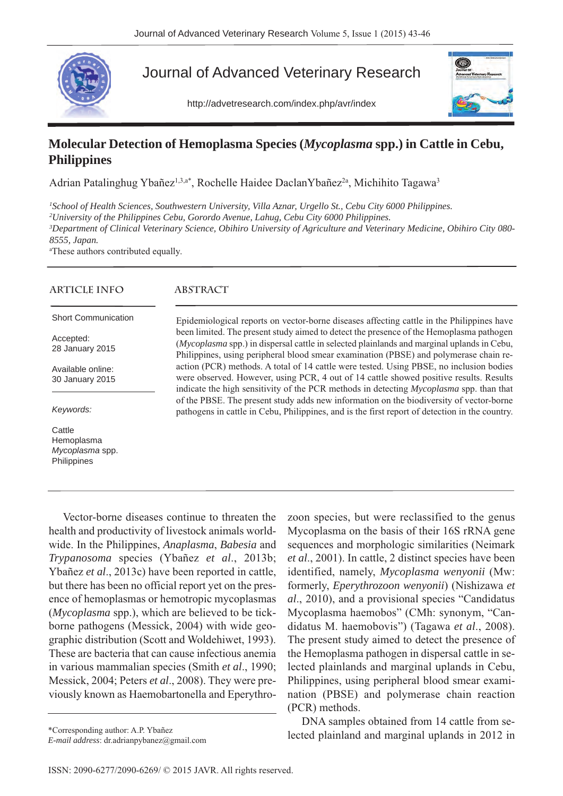

## Journal of Advanced Veterinary Research

http://advetresearch.com/index.php/avr/index



## **Molecular Detection of Hemoplasma Species (***Mycoplasma* **spp.) in Cattle in Cebu, Philippines**

Adrian Patalinghug Ybañez<sup>1,3,a\*</sup>, Rochelle Haidee DaclanYbañez<sup>2a</sup>, Michihito Tagawa<sup>3</sup>

*1 School of Health Sciences, Southwestern University, Villa Aznar, Urgello St., Cebu City 6000 Philippines.*

*2 University of the Philippines Cebu, Gorordo Avenue, Lahug, Cebu City 6000 Philippines.*

*3 Department of Clinical Veterinary Science, Obihiro University of Agriculture and Veterinary Medicine, Obihiro City 080- 8555, Japan.*

a These authors contributed equally.

| ARTICLE INFO                                           | <b>ABSTRACT</b>                                                                                                                                                                                                                                                                     |
|--------------------------------------------------------|-------------------------------------------------------------------------------------------------------------------------------------------------------------------------------------------------------------------------------------------------------------------------------------|
| <b>Short Communication</b>                             | Epidemiological reports on vector-borne diseases affecting cattle in the Philippines have                                                                                                                                                                                           |
| Accepted:<br>28 January 2015                           | been limited. The present study aimed to detect the presence of the Hemoplasma pathogen<br>(Mycoplasma spp.) in dispersal cattle in selected plainlands and marginal uplands in Cebu,<br>Philippines, using peripheral blood smear examination (PBSE) and polymerase chain re-      |
| Available online:<br>30 January 2015                   | action (PCR) methods. A total of 14 cattle were tested. Using PBSE, no inclusion bodies<br>were observed. However, using PCR, 4 out of 14 cattle showed positive results. Results<br>indicate the high sensitivity of the PCR methods in detecting <i>Mycoplasma</i> spp. than that |
| Keywords:                                              | of the PBSE. The present study adds new information on the biodiversity of vector-borne<br>pathogens in cattle in Cebu, Philippines, and is the first report of detection in the country.                                                                                           |
| Cattle<br>Hemoplasma<br>Mycoplasma spp.<br>Philippines |                                                                                                                                                                                                                                                                                     |

Vector-borne diseases continue to threaten the health and productivity of livestock animals worldwide. In the Philippines, *Anaplasma*, *Babesia* and *Trypanosoma* species (Ybañez *et al*., 2013b; Ybañez *et al*., 2013c) have been reported in cattle, but there has been no official report yet on the presence of hemoplasmas or hemotropic mycoplasmas (*Mycoplasma* spp.), which are believed to be tickborne pathogens (Messick, 2004) with wide geographic distribution (Scott and Woldehiwet, 1993). These are bacteria that can cause infectious anemia in various mammalian species (Smith *et al*., 1990; Messick, 2004; Peters *et al*., 2008). They were previously known as Haemobartonella and Eperythro-

*E-mail address*: dr.adrianpybanez@gmail.com

zoon species, but were reclassified to the genus Mycoplasma on the basis of their 16S rRNA gene sequences and morphologic similarities (Neimark *et al*., 2001). In cattle, 2 distinct species have been identified, namely, *Mycoplasma wenyonii* (Mw: formerly, *Eperythrozoon wenyonii*) (Nishizawa *et al*., 2010), and a provisional species "Candidatus Mycoplasma haemobos" (CMh: synonym, "Candidatus M. haemobovis") (Tagawa *et al*., 2008). The present study aimed to detect the presence of the Hemoplasma pathogen in dispersal cattle in selected plainlands and marginal uplands in Cebu, Philippines, using peripheral blood smear examination (PBSE) and polymerase chain reaction (PCR) methods.

DNA samples obtained from 14 cattle from se-\*Corresponding author: A.P. Ybañez<br>
F. wail address: draginal uplands in 2012 in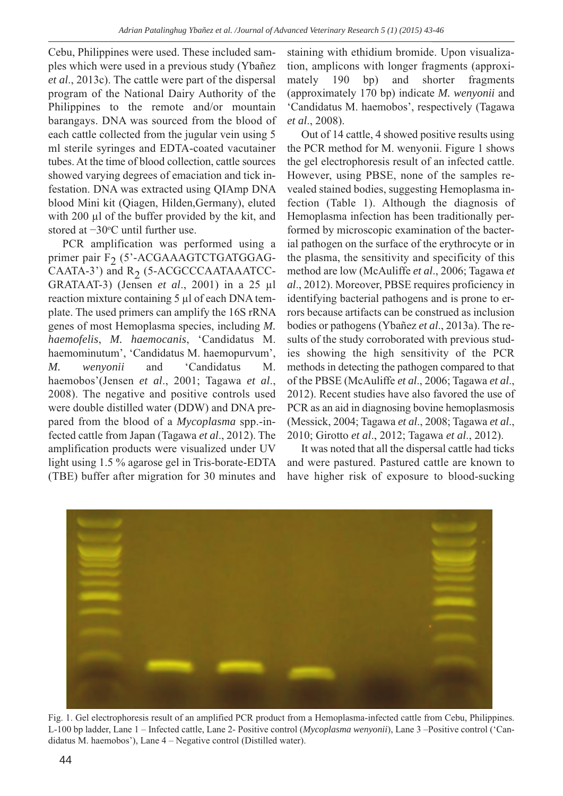Cebu, Philippines were used. These included samples which were used in a previous study (Ybañez *et al*., 2013c). The cattle were part of the dispersal program of the National Dairy Authority of the Philippines to the remote and/or mountain barangays. DNA was sourced from the blood of each cattle collected from the jugular vein using 5 ml sterile syringes and EDTA-coated vacutainer tubes. At the time of blood collection, cattle sources showed varying degrees of emaciation and tick infestation. DNA was extracted using QIAmp DNA blood Mini kit (Qiagen, Hilden,Germany), eluted with 200 µl of the buffer provided by the kit, and stored at −30°C until further use.

PCR amplification was performed using a primer pair  $F<sub>2</sub>$  (5'-ACGAAAGTCTGATGGAG-CAATA-3') and  $R_2$  (5-ACGCCCAATAAATCC-GRATAAT-3) (Jensen *et al*., 2001) in a 25 µl reaction mixture containing 5 µl of each DNA template. The used primers can amplify the 16S rRNA genes of most Hemoplasma species, including *M. haemofelis*, *M. haemocanis*, 'Candidatus M. haemominutum', 'Candidatus M. haemopurvum', *M. wenyonii* and 'Candidatus M. haemobos'(Jensen *et al*., 2001; Tagawa *et al*., 2008). The negative and positive controls used were double distilled water (DDW) and DNA prepared from the blood of a *Mycoplasma* spp.-infected cattle from Japan (Tagawa *et al*., 2012). The amplification products were visualized under UV light using 1.5 % agarose gel in Tris-borate-EDTA (TBE) buffer after migration for 30 minutes and staining with ethidium bromide. Upon visualization, amplicons with longer fragments (approximately 190 bp) and shorter fragments (approximately 170 bp) indicate *M. wenyonii* and 'Candidatus M. haemobos', respectively (Tagawa *et al*., 2008).

Out of 14 cattle, 4 showed positive results using the PCR method for M. wenyonii. Figure 1 shows the gel electrophoresis result of an infected cattle. However, using PBSE, none of the samples revealed stained bodies, suggesting Hemoplasma infection (Table 1). Although the diagnosis of Hemoplasma infection has been traditionally performed by microscopic examination of the bacterial pathogen on the surface of the erythrocyte or in the plasma, the sensitivity and specificity of this method are low (McAuliffe *et al*., 2006; Tagawa *et al*., 2012). Moreover, PBSE requires proficiency in identifying bacterial pathogens and is prone to errors because artifacts can be construed as inclusion bodies or pathogens (Ybañez *et al*., 2013a). The results of the study corroborated with previous studies showing the high sensitivity of the PCR methods in detecting the pathogen compared to that of the PBSE (McAuliffe *et al*., 2006; Tagawa *et al*., 2012). Recent studies have also favored the use of PCR as an aid in diagnosing bovine hemoplasmosis (Messick, 2004; Tagawa *et al*., 2008; Tagawa *et al*., 2010; Girotto *et al*., 2012; Tagawa *et al*., 2012).

It was noted that all the dispersal cattle had ticks and were pastured. Pastured cattle are known to have higher risk of exposure to blood-sucking



Fig. 1. Gel electrophoresis result of an amplified PCR product from a Hemoplasma-infected cattle from Cebu, Philippines. L-100 bp ladder, Lane 1 – Infected cattle, Lane 2- Positive control (*Mycoplasma wenyonii*), Lane 3 –Positive control ('Candidatus M. haemobos'), Lane 4 – Negative control (Distilled water).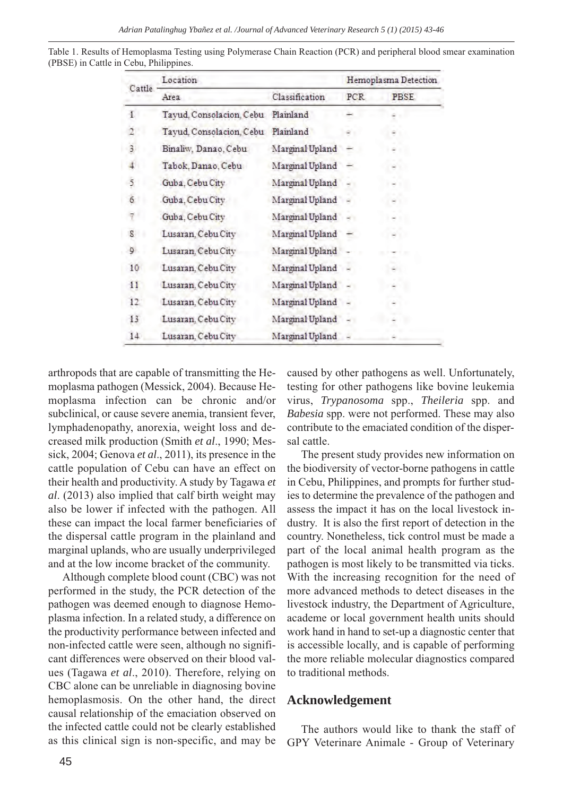| Cattle       | Location                 |                 | Hemoplasma Detection |             |
|--------------|--------------------------|-----------------|----------------------|-------------|
|              | Area                     | Classification  | PCR                  | <b>PBSE</b> |
| đ            | Tayud, Consolacion, Cebu | Plainland       |                      |             |
|              | Tayud, Consolacion, Cebu | Plainland       |                      |             |
| 3            | Binaliw, Danao, Cebu     | Marginal Upland |                      |             |
| 4            | Tabok, Danao, Cebu       | Marginal Upland |                      |             |
| 5            | Guba, Cebu City          | Marginal Upland |                      |             |
| 6            | Guba, Cebu City          | Marginal Upland |                      |             |
|              | Guba, Cebu City          | Marginal Upland |                      |             |
| s            | Lusaran, Cebu City       | Marginal Upland |                      |             |
| 9            | Lusaran, Cebu City       | Marginal Upland |                      |             |
| 10           | Lusaran, Cebu City       | Marginal Upland |                      |             |
| 11           | Lusaran, Cebu City       | Marginal Upland |                      |             |
| $12^{\circ}$ | Lusaran, Cebu City       | Marginal Upland |                      |             |
| 13           | Lusaran, Cebu City       | Marginal Upland |                      |             |
| 14           | Lusaran, Cebu City       | Marginal Upland |                      |             |

Table 1. Results of Hemoplasma Testing using Polymerase Chain Reaction (PCR) and peripheral blood smear examination (PBSE) in Cattle in Cebu, Philippines.

arthropods that are capable of transmitting the Hemoplasma pathogen (Messick, 2004). Because Hemoplasma infection can be chronic and/or subclinical, or cause severe anemia, transient fever, lymphadenopathy, anorexia, weight loss and decreased milk production (Smith *et al*., 1990; Messick, 2004; Genova *et al*., 2011), its presence in the cattle population of Cebu can have an effect on their health and productivity. A study by Tagawa *et al*. (2013) also implied that calf birth weight may also be lower if infected with the pathogen. All these can impact the local farmer beneficiaries of the dispersal cattle program in the plainland and marginal uplands, who are usually underprivileged and at the low income bracket of the community.

Although complete blood count (CBC) was not performed in the study, the PCR detection of the pathogen was deemed enough to diagnose Hemoplasma infection. In a related study, a difference on the productivity performance between infected and non-infected cattle were seen, although no significant differences were observed on their blood values (Tagawa *et al*., 2010). Therefore, relying on CBC alone can be unreliable in diagnosing bovine hemoplasmosis. On the other hand, the direct causal relationship of the emaciation observed on the infected cattle could not be clearly established as this clinical sign is non-specific, and may be

caused by other pathogens as well. Unfortunately, testing for other pathogens like bovine leukemia virus, *Trypanosoma* spp., *Theileria* spp. and *Babesia* spp. were not performed. These may also contribute to the emaciated condition of the dispersal cattle.

The present study provides new information on the biodiversity of vector-borne pathogens in cattle in Cebu, Philippines, and prompts for further studies to determine the prevalence of the pathogen and assess the impact it has on the local livestock industry. It is also the first report of detection in the country. Nonetheless, tick control must be made a part of the local animal health program as the pathogen is most likely to be transmitted via ticks. With the increasing recognition for the need of more advanced methods to detect diseases in the livestock industry, the Department of Agriculture, academe or local government health units should work hand in hand to set-up a diagnostic center that is accessible locally, and is capable of performing the more reliable molecular diagnostics compared to traditional methods.

## **Acknowledgement**

The authors would like to thank the staff of GPY Veterinare Animale - Group of Veterinary